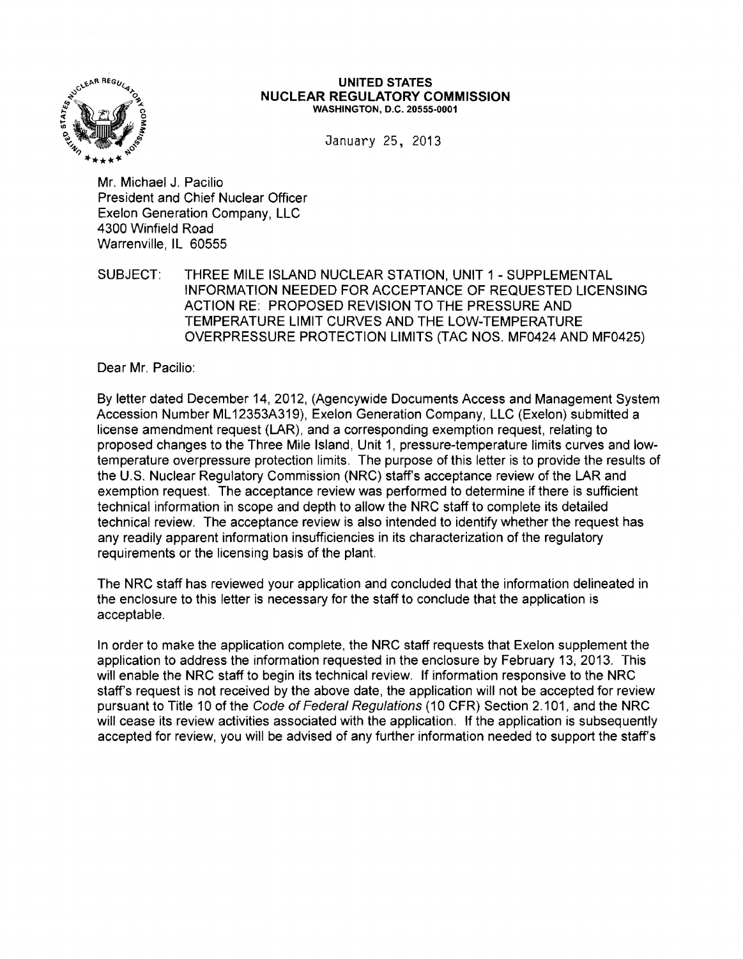

#### UNITED STATES **NUCLEAR REGULATORY COMMISSION**  WASHINGTON, D.C. 20555·0001

January 25, 2013

Mr. Michael J. Pacilio President and Chief Nuclear Officer Exelon Generation Company, LLC 4300 Winfield Road Warrenville, IL 60555

SUBJECT: THREE MILE ISLAND NUCLEAR STATION, UNIT 1 - SUPPLEMENTAL INFORMATION NEEDED FOR ACCEPTANCE OF REQUESTED LICENSING ACTION RE: PROPOSED REVISION TO THE PRESSURE AND TEMPERATURE LIMIT CURVES AND THE LOW-TEMPERATURE OVERPRESSURE PROTECTION LIMITS (TAC NOS. MF0424 AND MF0425)

Dear Mr. Pacilio:

By letter dated December 14, 2012, (Agencywide Documents Access and Management System Accession Number ML 12353A319), Exelon Generation Company, LLC (Exelon) submitted a license amendment request (LAR), and a corresponding exemption request, relating to proposed changes to the Three Mile Island, Unit 1, pressure-temperature limits curves and lowtemperature overpressure protection limits. The purpose of this letter is to provide the results of the U.S. Nuclear Regulatory Commission (NRC) staff's acceptance review of the LAR and exemption request. The acceptance review was performed to determine if there is sufficient technical information in scope and depth to allow the NRC staff to complete its detailed technical review. The acceptance review is also intended to identify whether the request has any readily apparent information insufficiencies in its characterization of the regulatory requirements or the licensing basis of the plant.

The NRC staff has reviewed your application and concluded that the information delineated in the enclosure to this letter is necessary for the staff to conclude that the application is acceptable.

In order to make the application complete, the NRC staff requests that Exelon supplement the application to address the information requested in the enclosure by February 13, 2013. This will enable the NRC staff to begin its technical review. If information responsive to the NRC staff's request is not received by the above date, the application will not be accepted for review pursuant to Title 10 of the Code of Federal Regulations (10 CFR) Section 2.101, and the NRC will cease its review activities associated with the application. If the application is subsequently accepted for review, you will be advised of any further information needed to support the staff's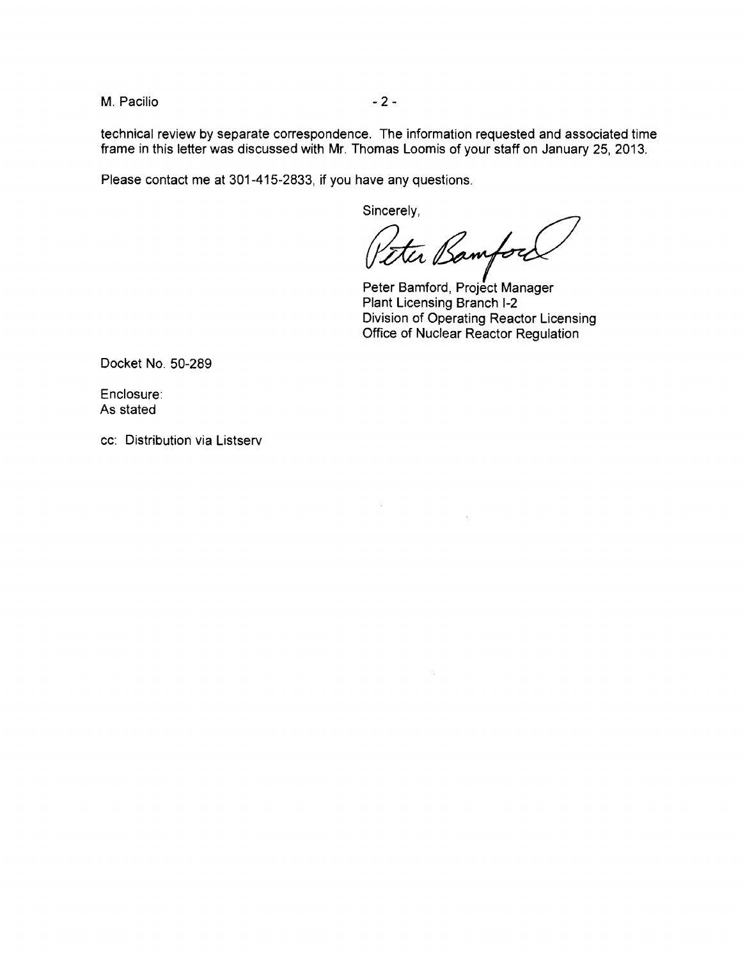M. Pacilio  $-2-$ 

technical review by separate correspondence. The information requested and associated time frame in this letter was discussed with Mr. Thomas Loomis of your staff on January 25, 2013.

Please contact me at 301-415-2833, if you have any questions.

Sincerely,

Peter Bamford

Peter Bamford, Project Manager Plant Licensing Branch 1-2 Division of Operating Reactor Licensing Office of Nuclear Reactor Regulation

Docket No. 50-289

Enclosure: As stated

cc: Distribution via Listserv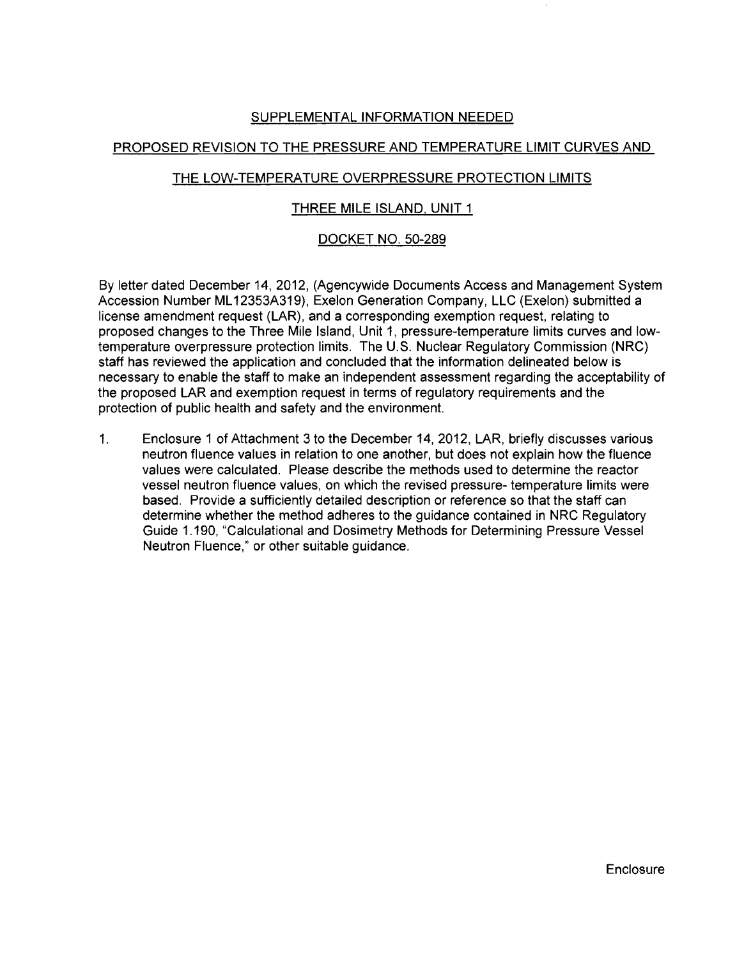# SUPPLEMENTAL INFORMATION NEEDED

## PROPOSED REVISION TO THE PRESSURE AND TEMPERATURE LIMIT CURVES AND

# THE LOW-TEMPERATURE OVERPRESSURE PROTECTION LIMITS

## THREE MILE ISLAND, UNIT 1

## DOCKET NO. 50-289

By letter dated December 14, 2012, (Agencywide Documents Access and Management System Accession Number ML 12353A319), Exelon Generation Company, LLC (Exelon) submitted a license amendment request (LAR), and a corresponding exemption request, relating to proposed changes to the Three Mile Island, Unit 1, pressure-temperature limits curves and lowtemperature overpressure protection limits. The U.S. Nuclear Regulatory Commission (NRC) staff has reviewed the application and concluded that the information delineated below is necessary to enable the staff to make an independent assessment regarding the acceptability of the proposed LAR and exemption request in terms of regulatory requirements and the protection of public health and safety and the environment.

1. Enclosure 1 of Attachment 3 to the December 14, 2012, LAR, briefly discusses various neutron fluence values in relation to one another, but does not explain how the fluence values were calculated. Please describe the methods used to determine the reactor vessel neutron fluence values, on which the revised pressure- temperature limits were based. Provide a sufficiently detailed description or reference so that the staff can determine whether the method adheres to the guidance contained in NRC Regulatory Guide 1.190, "Calculational and Dosimetry Methods for Determining Pressure Vessel Neutron Fluence," or other suitable guidance.